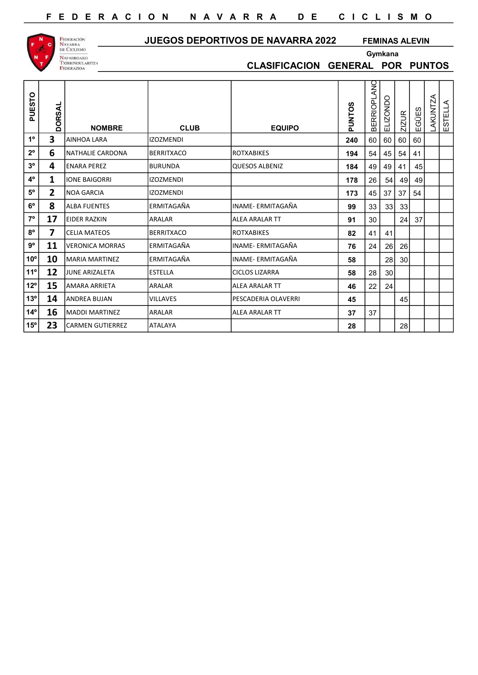

## JUEGOS DEPORTIVOS DE NAVARRA 2022 FEMINAS ALEVIN

CLASIFICACION GENERAL POR PUNTOS

Gymkana

| PUESTO         | <b>DORSAL</b>           | <b>NOMBRE</b>           | <b>CLUB</b>       | <b>EQUIPO</b>         | <b>PUNTOS</b> | <b>BERRIOPLANC</b> | ELIZONDO | ZIZUR | EGÜES | <b>LAKUNTZA</b> | ESTELLA |  |
|----------------|-------------------------|-------------------------|-------------------|-----------------------|---------------|--------------------|----------|-------|-------|-----------------|---------|--|
| $1^{\circ}$    | 3                       | AINHOA LARA             | <b>IZOZMENDI</b>  |                       | 240           | 60                 | 60       | 60    | 60    |                 |         |  |
| $2^{\circ}$    | 6                       | NATHALIE CARDONA        | BERRITXACO        | <b>ROTXABIKES</b>     | 194           | 54                 | 45       | 54    | 41    |                 |         |  |
| 3 <sup>o</sup> | 4                       | <b>ENARA PEREZ</b>      | <b>BURUNDA</b>    | <b>QUESOS ALBENIZ</b> | 184           | 49                 | 49       | -41   | 45    |                 |         |  |
| 4°             | 1                       | <b>IONE BAIGORRI</b>    | <b>IZOZMENDI</b>  |                       | 178           | 26                 | 54       | 49    | 49    |                 |         |  |
| $5^{\rm o}$    | $\overline{\mathbf{2}}$ | <b>NOA GARCIA</b>       | <b>IZOZMENDI</b>  |                       | 173           | 45                 | 37       | 37    | 54    |                 |         |  |
| $6^{\rm o}$    | 8                       | <b>ALBA FUENTES</b>     | ERMITAGAÑA        | INAME- ERMITAGAÑA     | 99            | 33                 | 33       | 33    |       |                 |         |  |
| $7^{\circ}$    | 17                      | <b>EIDER RAZKIN</b>     | <b>ARALAR</b>     | <b>ALEA ARALAR TT</b> | 91            | 30                 |          | 24    | 37    |                 |         |  |
| $8^{\circ}$    | 7                       | <b>CELIA MATEOS</b>     | <b>BERRITXACO</b> | <b>ROTXABIKES</b>     | 82            | 41                 | 41       |       |       |                 |         |  |
| $9^{\rm o}$    | 11                      | <b>VERONICA MORRAS</b>  | ERMITAGAÑA        | INAME- ERMITAGAÑA     | 76            | 24                 | 26       | 26    |       |                 |         |  |
| $10^{\circ}$   | 10                      | <b>MARIA MARTINEZ</b>   | ERMITAGAÑA        | INAME- ERMITAGAÑA     | 58            |                    | 28       | 30    |       |                 |         |  |
| 11°            | 12                      | <b>JUNE ARIZALETA</b>   | <b>ESTELLA</b>    | <b>CICLOS LIZARRA</b> | 58            | 28                 | 30       |       |       |                 |         |  |
| $12^{\circ}$   | 15                      | <b>AMARA ARRIETA</b>    | <b>ARALAR</b>     | <b>ALEA ARALAR TT</b> | 46            | 22                 | 24       |       |       |                 |         |  |
| 13°            | 14                      | <b>ANDREA BUJAN</b>     | <b>VILLAVES</b>   | PESCADERIA OLAVERRI   | 45            |                    |          | 45    |       |                 |         |  |
| $14^{\circ}$   | 16                      | <b>MADDI MARTINEZ</b>   | <b>ARALAR</b>     | <b>ALEA ARALAR TT</b> | 37            | 37                 |          |       |       |                 |         |  |
| 15°            | 23                      | <b>CARMEN GUTIERREZ</b> | <b>ATALAYA</b>    |                       | 28            |                    |          | 28    |       |                 |         |  |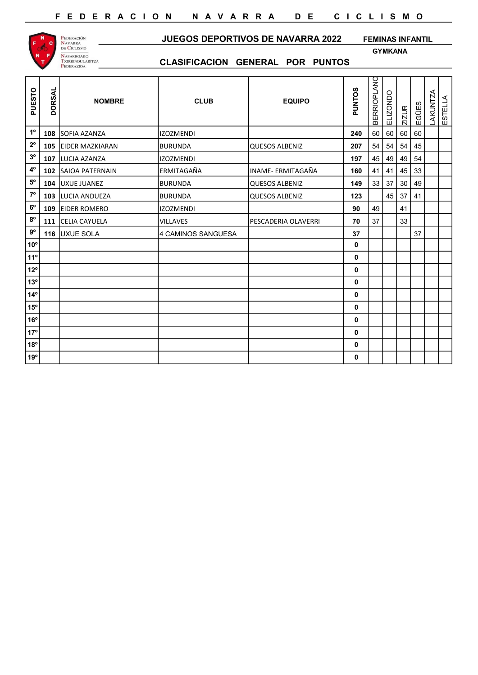

JUEGOS DEPORTIVOS DE NAVARRA 2022 FEMINAS INFANTIL

GYMKANA

| PUESTO         | <b>DORSAL</b> | <b>NOMBRE</b>          | <b>CLUB</b>        | <b>EQUIPO</b>       | <b>PUNTOS</b> | <b>BERRIOPLANC</b> | ELIZONDO | <b>ZIZUR</b> | EGÜES | <b>LAKUNTZA</b> | ESTELLA |
|----------------|---------------|------------------------|--------------------|---------------------|---------------|--------------------|----------|--------------|-------|-----------------|---------|
| $1^{\rm o}$    | 108           | SOFIA AZANZA           | <b>IZOZMENDI</b>   |                     | 240           | 60                 | 60       | 60           | 60    |                 |         |
| $2^{\circ}$    | 105           | <b>EIDER MAZKIARAN</b> | <b>BURUNDA</b>     | QUESOS ALBENIZ      | 207           | 54                 | 54       | 54           | 45    |                 |         |
| $3^{\rm o}$    | 107           | LUCIA AZANZA           | <b>IZOZMENDI</b>   |                     | 197           | 45                 | 49       | 49           | 54    |                 |         |
| $4^{\rm o}$    | 102           | SAIOA PATERNAIN        | ERMITAGAÑA         | INAME- ERMITAGAÑA   | 160           | 41                 | 41       | 45           | 33    |                 |         |
| $5^{\rm o}$    | 104           | <b>UXUE JUANEZ</b>     | <b>BURUNDA</b>     | QUESOS ALBENIZ      | 149           | 33                 | 37       | 30           | 49    |                 |         |
| $7^{\circ}$    | 103           | LUCIA ANDUEZA          | <b>BURUNDA</b>     | QUESOS ALBENIZ      | 123           |                    | 45       | 37           | 41    |                 |         |
| $6^{\rm o}$    | 109           | <b>EIDER ROMERO</b>    | <b>IZOZMENDI</b>   |                     | 90            | 49                 |          | 41           |       |                 |         |
| $8^{\rm o}$    | 111           | CELIA CAYUELA          | <b>VILLAVES</b>    | PESCADERIA OLAVERRI | 70            | 37                 |          | 33           |       |                 |         |
| $9^{\rm o}$    |               | 116 UXUE SOLA          | 4 CAMINOS SANGUESA |                     | 37            |                    |          |              | 37    |                 |         |
| 10°            |               |                        |                    |                     | 0             |                    |          |              |       |                 |         |
| 11°            |               |                        |                    |                     | 0             |                    |          |              |       |                 |         |
| 12°            |               |                        |                    |                     | 0             |                    |          |              |       |                 |         |
| 13°            |               |                        |                    |                     | 0             |                    |          |              |       |                 |         |
| $ 14^{\circ} $ |               |                        |                    |                     | 0             |                    |          |              |       |                 |         |
| $ 15^{\circ} $ |               |                        |                    |                     | 0             |                    |          |              |       |                 |         |
| $ 16^{\circ} $ |               |                        |                    |                     | 0             |                    |          |              |       |                 |         |
| $ 17^{\circ} $ |               |                        |                    |                     | 0             |                    |          |              |       |                 |         |
| 18°            |               |                        |                    |                     | 0             |                    |          |              |       |                 |         |
| ∣19º           |               |                        |                    |                     | 0             |                    |          |              |       |                 |         |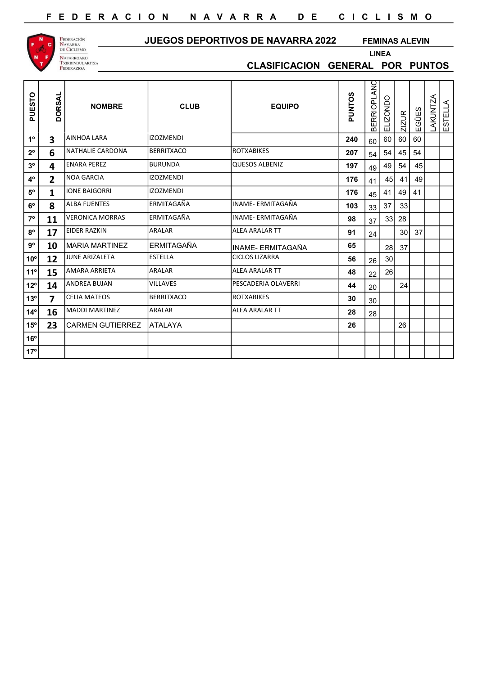

## JUEGOS DEPORTIVOS DE NAVARRA 2022

FEMINAS ALEVIN

CLASIFICACION GENERAL POR PUNTOS

LINEA

| PUESTO         | <b>DORSAL</b>           | <b>NOMBRE</b>           | <b>CLUB</b>       | <b>EQUIPO</b>            | <b>PUNTOS</b> | <b>BERRIOPLANO</b> | ELIZONDO | <b>ZIZUR</b> | EGÜES | <b>LAKUNTZA</b> | ESTELLA |  |
|----------------|-------------------------|-------------------------|-------------------|--------------------------|---------------|--------------------|----------|--------------|-------|-----------------|---------|--|
| $1^{\circ}$    | $\overline{\mathbf{3}}$ | AINHOA LARA             | <b>IZOZMENDI</b>  |                          | 240           | 60                 | 60       | 60           | 60    |                 |         |  |
| $2^{\circ}$    | 6                       | NATHALIE CARDONA        | <b>BERRITXACO</b> | <b>ROTXABIKES</b>        | 207           | 54                 | 54       | 45           | 54    |                 |         |  |
| 3 <sup>o</sup> | 4                       | <b>ENARA PEREZ</b>      | <b>BURUNDA</b>    | <b>QUESOS ALBENIZ</b>    | 197           | 49                 | 49       | 54           | 45    |                 |         |  |
| $4^{\rm o}$    | $\overline{2}$          | NOA GARCIA              | <b>IZOZMENDI</b>  |                          | 176           | 41                 | 45       | 41           | 49    |                 |         |  |
| $5^{\rm o}$    | $\mathbf{1}$            | <b>IONE BAIGORRI</b>    | <b>IZOZMENDI</b>  |                          | 176           | 45                 | 41       | 49           | 41    |                 |         |  |
| $6^{\circ}$    | 8                       | <b>ALBA FUENTES</b>     | ERMITAGAÑA        | <b>INAME- ERMITAGAÑA</b> | 103           | 33                 | 37       | 33           |       |                 |         |  |
| $7^{\circ}$    | 11                      | <b>VERONICA MORRAS</b>  | ERMITAGAÑA        | INAME- ERMITAGAÑA        | 98            | 37                 | 33       | 28           |       |                 |         |  |
| $8^{\rm o}$    | 17                      | EIDER RAZKIN            | ARALAR            | <b>ALEA ARALAR TT</b>    | 91            | 24                 |          | 30           | 37    |                 |         |  |
| $9^{\circ}$    | 10                      | <b>IMARIA MARTINEZ</b>  | <b>ERMITAGAÑA</b> | INAME- ERMITAGAÑA        | 65            |                    | 28       | 37           |       |                 |         |  |
| $10^{\circ}$   | 12                      | <b>JUNE ARIZALETA</b>   | <b>ESTELLA</b>    | <b>CICLOS LIZARRA</b>    | 56            | 26                 | 30       |              |       |                 |         |  |
| 11°            | 15                      | <b>AMARA ARRIETA</b>    | <b>ARALAR</b>     | <b>ALEA ARALAR TT</b>    | 48            | 22                 | 26       |              |       |                 |         |  |
| $12^{\circ}$   | 14                      | ANDREA BUJAN            | <b>VILLAVES</b>   | PESCADERIA OLAVERRI      | 44            | 20                 |          | 24           |       |                 |         |  |
| 13°            | $\overline{\mathbf{z}}$ | <b>CELIA MATEOS</b>     | <b>BERRITXACO</b> | <b>ROTXABIKES</b>        | 30            | 30                 |          |              |       |                 |         |  |
| $14^{\circ}$   | 16                      | MADDI MARTINEZ          | <b>ARALAR</b>     | <b>ALEA ARALAR TT</b>    | 28            | 28                 |          |              |       |                 |         |  |
| $15^{\circ}$   | 23                      | <b>CARMEN GUTIERREZ</b> | <b>ATALAYA</b>    |                          | 26            |                    |          | 26           |       |                 |         |  |
| $16^{\circ}$   |                         |                         |                   |                          |               |                    |          |              |       |                 |         |  |
| $ 17^{\circ} $ |                         |                         |                   |                          |               |                    |          |              |       |                 |         |  |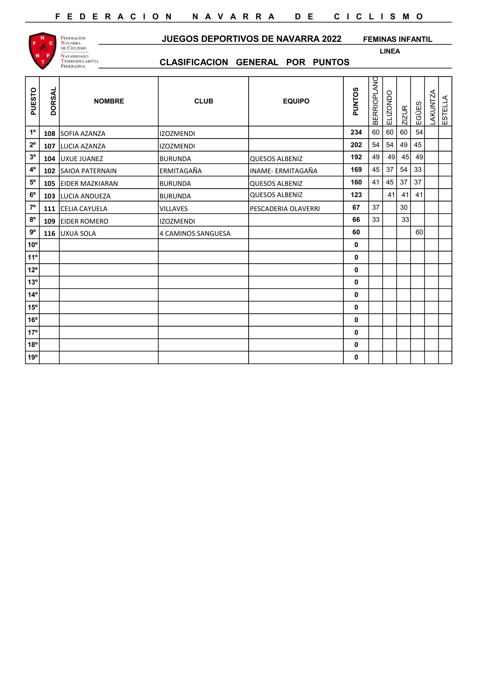

#### JUEGOS DEPORTIVOS DE NAVARRA 2022 FEMINAS INFANTIL

LINEA

| PUESTO         | <b>DORSAL</b> | <b>NOMBRE</b>          | <b>CLUB</b>        | <b>EQUIPO</b>         | <b>PUNTOS</b> | <b>BERRIOPLANO</b> | <b>ELIZONDO</b> | <b>ZIZUR</b> | EGÜES | <b>LAKUNTZA</b> | ESTELLA |
|----------------|---------------|------------------------|--------------------|-----------------------|---------------|--------------------|-----------------|--------------|-------|-----------------|---------|
| $1^{\circ}$    |               | 108 SOFIA AZANZA       | <b>IZOZMENDI</b>   |                       | 234           | 60                 | 60              | 60           | 54    |                 |         |
| $2^{\circ}$    | 107           | LUCIA AZANZA           | <b>IZOZMENDI</b>   |                       | 202           | 54                 | 54              | 49           | 45    |                 |         |
| 3 <sup>o</sup> | 104           | UXUE JUANEZ            | <b>BURUNDA</b>     | QUESOS ALBENIZ        | 192           | 49                 | 49              | 45           | 49    |                 |         |
| $4^{\circ}$    | 102           | SAIOA PATERNAIN        | ERMITAGAÑA         | INAME- ERMITAGAÑA     | 169           | 45                 | 37              | 54           | 33    |                 |         |
| $5^{\circ}$    | 105           | <b>EIDER MAZKIARAN</b> | <b>BURUNDA</b>     | QUESOS ALBENIZ        | 160           | 41                 | 45              | 37           | 37    |                 |         |
| $6^{\rm o}$    | 103           | LUCIA ANDUEZA          | <b>BURUNDA</b>     | <b>QUESOS ALBENIZ</b> | 123           |                    | 41              | 41           | 41    |                 |         |
| $7^{\circ}$    |               | 111 CELIA CAYUELA      | <b>VILLAVES</b>    | PESCADERIA OLAVERRI   | 67            | 37                 |                 | 30           |       |                 |         |
| $8^{\rm o}$    | 109           | <b>EIDER ROMERO</b>    | <b>IZOZMENDI</b>   |                       | 66            | 33                 |                 | 33           |       |                 |         |
| $9^{\rm o}$    |               | 116 UXUA SOLA          | 4 CAMINOS SANGUESA |                       | 60            |                    |                 |              | 60    |                 |         |
| $ 10^{\circ} $ |               |                        |                    |                       | 0             |                    |                 |              |       |                 |         |
| $ 11^{\circ} $ |               |                        |                    |                       | 0             |                    |                 |              |       |                 |         |
| $12^{\circ}$   |               |                        |                    |                       | 0             |                    |                 |              |       |                 |         |
| $13^{\circ}$   |               |                        |                    |                       | $\mathbf 0$   |                    |                 |              |       |                 |         |
| $14^{\circ}$   |               |                        |                    |                       | 0             |                    |                 |              |       |                 |         |
| $15^{\circ}$   |               |                        |                    |                       | 0             |                    |                 |              |       |                 |         |
| $16^{\circ}$   |               |                        |                    |                       | 0             |                    |                 |              |       |                 |         |
| 17°            |               |                        |                    |                       | 0             |                    |                 |              |       |                 |         |
| $18^{\circ}$   |               |                        |                    |                       | $\mathbf 0$   |                    |                 |              |       |                 |         |
| 19°            |               |                        |                    |                       | 0             |                    |                 |              |       |                 |         |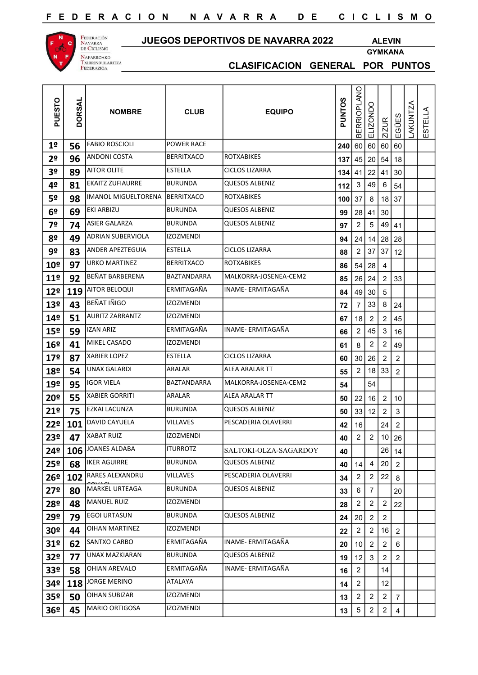## JUEGOS DEPORTIVOS DE NAVARRA 2022 ALEVIN

GYMKANA



| PUESTO          | <b>DORSAL</b> | <b>NOMBRE</b>              | <b>CLUB</b>        | <b>EQUIPO</b>         | PUNTOS | <b>BERRIOPLANO</b> | ELIZONDO                | ZIZUR                   | EGÜES          | LAKUNTZA | ESTELLA |
|-----------------|---------------|----------------------------|--------------------|-----------------------|--------|--------------------|-------------------------|-------------------------|----------------|----------|---------|
| 1 <sup>o</sup>  | 56            | <b>FABIO ROSCIOLI</b>      | <b>POWER RACE</b>  |                       |        | 240 60 60          |                         | 60                      | 60             |          |         |
| 2 <sup>o</sup>  | 96            | ANDONI COSTA               | <b>BERRITXACO</b>  | ROTXABIKES            | 137    | 45                 | 20                      | 54                      | 18             |          |         |
| 3 <sup>o</sup>  | 89            | <b>AITOR OLITE</b>         | <b>ESTELLA</b>     | <b>CICLOS LIZARRA</b> | 134    | 41                 | 22                      | 41                      | 30             |          |         |
| 4º              | 81            | <b>EKAITZ ZUFIAURRE</b>    | BURUNDA            | <b>QUESOS ALBENIZ</b> | 112    | 3                  | 49                      | 6                       | 54             |          |         |
| 5º              | 98            | <b>IMANOL MIGUELTORENA</b> | <b>BERRITXACO</b>  | <b>ROTXABIKES</b>     | 100    | 37                 | 8                       | $18$ 37                 |                |          |         |
| 6 <sup>o</sup>  | 69            | EKI ARBIZU                 | BURUNDA            | <b>QUESOS ALBENIZ</b> | 99     | 28                 | 41                      | 30                      |                |          |         |
| 7º              | 74            | ASIER GALARZA              | <b>BURUNDA</b>     | <b>QUESOS ALBENIZ</b> | 97     | $\overline{2}$     | 5                       | 49                      | 41             |          |         |
| 8º              | 49            | <b>ADRIAN SUBERVIOLA</b>   | <b>IZOZMENDI</b>   |                       | 94     | 24                 | 14 28                   |                         | 28             |          |         |
| 9º              | 83            | <b>ANDER APEZTEGUIA</b>    | <b>ESTELLA</b>     | <b>CICLOS LIZARRA</b> | 88     | 2                  | 37                      | 37                      | 12             |          |         |
| 10 <sup>o</sup> | 97            | <b>URKO MARTINEZ</b>       | <b>BERRITXACO</b>  | <b>ROTXABIKES</b>     | 86     | 54                 | 28                      | 4                       |                |          |         |
| 11 <sup>°</sup> | 92            | BEÑAT BARBERENA            | <b>BAZTANDARRA</b> | MALKORRA-JOSENEA-CEM2 | 85     | 26                 | 24                      | 2                       | 33             |          |         |
| 12 <sup>°</sup> | 119           | <b>AITOR BELOQUI</b>       | ERMITAGAÑA         | INAME- ERMITAGAÑA     | 84     | 49                 | 30                      | $\,$ 5 $\,$             |                |          |         |
| 13º             | 43            | BEÑAT IÑIGO                | <b>IZOZMENDI</b>   |                       | 72     | 7                  | 33                      | 8                       | 24             |          |         |
| 14º             | 51            | AURITZ ZARRANTZ            | <b>IZOZMENDI</b>   |                       | 67     | 18                 | $\overline{c}$          | 2                       | 45             |          |         |
| 15º             | 59            | <b>IZAN ARIZ</b>           | ERMITAGAÑA         | INAME- ERMITAGAÑA     | 66     | $\mathbf{2}$       | 45                      | $\mathsf 3$             | 16             |          |         |
| 16 <sup>o</sup> | 41            | MIKEL CASADO               | izozmendi          |                       | 61     | 8                  | 2                       | $\overline{\mathbf{c}}$ | 49             |          |         |
| 17 <sup>°</sup> | 87            | <b>XABIER LOPEZ</b>        | <b>ESTELLA</b>     | <b>CICLOS LIZARRA</b> | 60     | 30                 | 26                      | $\overline{\mathbf{c}}$ | $\overline{c}$ |          |         |
| 18º             | 54            | <b>UNAX GALARDI</b>        | ARALAR             | ALEA ARALAR TT        | 55     | $\overline{2}$     | 18                      | 33                      | $\overline{2}$ |          |         |
| 19º             | 95            | <b>IGOR VIELA</b>          | BAZTANDARRA        | MALKORRA-JOSENEA-CEM2 | 54     |                    | 54                      |                         |                |          |         |
| <b>20º</b>      | 55            | <b>XABIER GORRITI</b>      | ARALAR             | ALEA ARALAR TT        | 50     | 22                 | 16                      | $\overline{2}$          | 10             |          |         |
| 21°             | 75            | EZKAI LACUNZA              | <b>BURUNDA</b>     | QUESOS ALBENIZ        | 50     | 33                 | 12                      | $\overline{\mathbf{c}}$ | 3              |          |         |
| 22°             | 101           | <b>DAVID CAYUELA</b>       | VILLAVES           | PESCADERIA OLAVERRI   | 42     | 16                 |                         | 24                      | 2              |          |         |
| 23 <sup>°</sup> | 47            | <b>XABAT RUIZ</b>          | <b>IZOZMENDI</b>   |                       | 40     | $\overline{c}$     | $\overline{a}$          | 10 26                   |                |          |         |
| 24º             | 106           | JOANES ALDABA              | <b>ITURROTZ</b>    | SALTOKI-OLZA-SAGARDOY | 40     |                    |                         | 26                      | 14             |          |         |
| 25º             | 68            | IKER AGUIRRE               | <b>BURUNDA</b>     | <b>QUESOS ALBENIZ</b> | 40     | 14                 | 4                       | $20\,$                  | $\overline{2}$ |          |         |
| 26 <sup>o</sup> | 102           | <b>RARES ALEXANDRU</b>     | VILLAVES           | PESCADERIA OLAVERRI   | 34     | 2                  | $\overline{\mathbf{c}}$ | 22                      | 8              |          |         |
| 27 <sup>°</sup> | 80            | MARKEL URTEAGA             | <b>BURUNDA</b>     | <b>QUESOS ALBENIZ</b> | 33     | 6                  | 7                       |                         | 20             |          |         |
| 28º             | 48            | MANUEL RUIZ                | <b>IZOZMENDI</b>   |                       | 28     | $\overline{a}$     | $\overline{\mathbf{c}}$ | $\overline{c}$          | 22             |          |         |
| 29º             | 79            | <b>EGOI URTASUN</b>        | <b>BURUNDA</b>     | <b>QUESOS ALBENIZ</b> | 24     | 20                 | $\overline{c}$          | $\overline{a}$          |                |          |         |
| 30 <sup>o</sup> | 44            | OIHAN MARTINEZ             | <b>IZOZMENDI</b>   |                       | 22     | 2                  | $\overline{\mathbf{c}}$ | 16                      | $\overline{2}$ |          |         |
| 31 <sup>o</sup> | 62            | SANTXO CARBO               | ERMITAGAÑA         | INAME- ERMITAGAÑA     | 20     | 10                 | 2                       | $\overline{2}$          | 6              |          |         |
| 32 <sup>o</sup> | 77            | UNAX MAZKIARAN             | <b>BURUNDA</b>     | QUESOS ALBENIZ        | 19     | 12                 | 3                       | $\overline{c}$          | $\overline{2}$ |          |         |
| 33º             | 58            | <b>OHIAN AREVALO</b>       | ERMITAGAÑA         | INAME- ERMITAGAÑA     | 16     | $\overline{a}$     |                         | 14                      |                |          |         |
| 34º             | 118           | JORGE MERINO               | ATALAYA            |                       | 14     | 2                  |                         | 12                      |                |          |         |
| 35 <sup>o</sup> | 50            | OIHAN SUBIZAR              | <b>IZOZMENDI</b>   |                       | 13     | $\overline{2}$     | $\overline{\mathbf{c}}$ | $\overline{a}$          | $\overline{7}$ |          |         |
| 36 <sup>o</sup> | 45            | MARIO ORTIGOSA             | IZOZMENDI          |                       | 13     | 5                  | 2                       | $\overline{a}$          | $\overline{4}$ |          |         |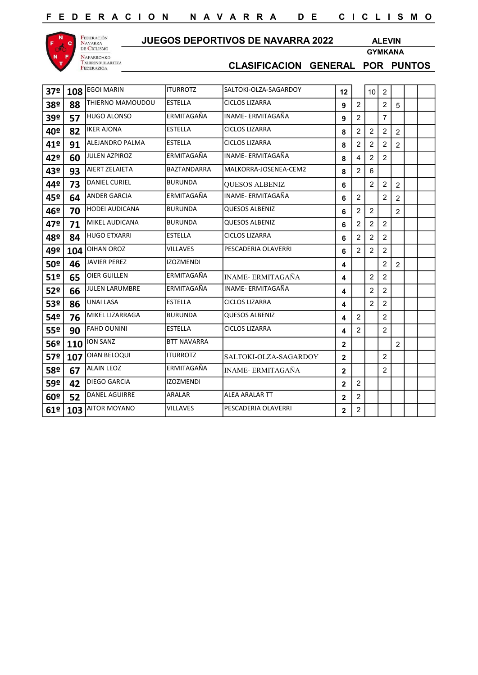

## JUEGOS DEPORTIVOS DE NAVARRA 2022 ALEVIN

GYMKANA

| 37º             | 108 | <b>EGOI MARIN</b>     | <b>ITURROTZ</b>    | SALTOKI-OLZA-SAGARDOY    | 12             |                | 10 <sup>°</sup> | $\overline{2}$ |                |  |
|-----------------|-----|-----------------------|--------------------|--------------------------|----------------|----------------|-----------------|----------------|----------------|--|
| 38º             | 88  | THIERNO MAMOUDOU      | <b>ESTELLA</b>     | <b>CICLOS LIZARRA</b>    | 9              | $\overline{2}$ |                 | $\overline{2}$ | 5              |  |
| 39º             | 57  | <b>HUGO ALONSO</b>    | ERMITAGAÑA         | INAME- ERMITAGAÑA        | 9              | $\overline{2}$ |                 | 7              |                |  |
| 40º             | 82  | <b>IKER AJONA</b>     | <b>ESTELLA</b>     | <b>CICLOS LIZARRA</b>    | 8              | $\overline{2}$ | 2               | $\overline{2}$ | $\overline{2}$ |  |
| 41º             | 91  | ALEJANDRO PALMA       | <b>ESTELLA</b>     | CICLOS LIZARRA           | 8              | $\overline{2}$ | 2               | 2              | $\overline{2}$ |  |
| 42º             | 60  | <b>JULEN AZPIROZ</b>  | ERMITAGAÑA         | <b>INAME-ERMITAGAÑA</b>  | 8              | 4              | $\overline{2}$  | $\overline{2}$ |                |  |
| 43º             | 93  | AIERT ZELAIETA        | BAZTANDARRA        | MALKORRA-JOSENEA-CEM2    | 8              | 2              | 6               |                |                |  |
| 44º             | 73  | <b>DANIEL CURIEL</b>  | <b>BURUNDA</b>     | <b>OUESOS ALBENIZ</b>    | 6              |                | $\overline{2}$  | $\overline{c}$ | $\overline{2}$ |  |
| 45º             | 64  | <b>ANDER GARCIA</b>   | ERMITAGAÑA         | INAME- ERMITAGAÑA        | 6              | $\overline{2}$ |                 | $\overline{2}$ | $\overline{2}$ |  |
| 46º             | 70  | <b>HODEI AUDICANA</b> | <b>BURUNDA</b>     | <b>QUESOS ALBENIZ</b>    | 6              | $\overline{2}$ | $\overline{2}$  |                | $\overline{2}$ |  |
| 47º             | 71  | <b>MIKEL AUDICANA</b> | <b>BURUNDA</b>     | <b>QUESOS ALBENIZ</b>    | 6              | 2              | 2               | 2              |                |  |
| 48º             | 84  | <b>HUGO ETXARRI</b>   | <b>ESTELLA</b>     | <b>CICLOS LIZARRA</b>    | 6              | 2              | 2               | $\overline{2}$ |                |  |
| 49º             | 104 | <b>OIHAN OROZ</b>     | <b>VILLAVES</b>    | PESCADERIA OLAVERRI      | 6              | $\overline{2}$ | 2               | $\overline{2}$ |                |  |
| 50 <sup>o</sup> | 46  | <b>JAVIER PEREZ</b>   | <b>IZOZMENDI</b>   |                          | 4              |                |                 | $\overline{2}$ | 2              |  |
| 51º             | 65  | <b>OIER GUILLEN</b>   | ERMITAGAÑA         | <b>INAME- ERMITAGAÑA</b> | 4              |                | 2               | $\overline{2}$ |                |  |
| 52º             | 66  | <b>JULEN LARUMBRE</b> | ERMITAGAÑA         | INAME- ERMITAGAÑA        | 4              |                | $\overline{2}$  | $\overline{2}$ |                |  |
| 53º             | 86  | UNAI LASA             | ESTELLA            | <b>CICLOS LIZARRA</b>    | 4              |                | 2               | $\overline{2}$ |                |  |
| 54º             | 76  | MIKEL LIZARRAGA       | <b>BURUNDA</b>     | <b>QUESOS ALBENIZ</b>    | 4              | 2              |                 | 2              |                |  |
| 55º             | 90  | <b>FAHD OUNINI</b>    | <b>ESTELLA</b>     | <b>CICLOS LIZARRA</b>    | 4              | $\overline{2}$ |                 | $\overline{2}$ |                |  |
| 56º             | 110 | <b>ION SANZ</b>       | <b>BTT NAVARRA</b> |                          | $\mathbf{2}$   |                |                 |                | 2              |  |
| 57º             | 107 | <b>OIAN BELOQUI</b>   | <b>ITURROTZ</b>    | SALTOKI-OLZA-SAGARDOY    | $\mathbf 2$    |                |                 | $\overline{2}$ |                |  |
| <b>58º</b>      | 67  | <b>ALAIN LEOZ</b>     | ERMITAGAÑA         | <b>INAME-ERMITAGAÑA</b>  | $\overline{2}$ |                |                 | $\overline{2}$ |                |  |
| 59º             | 42  | DIEGO GARCIA          | <b>IZOZMENDI</b>   |                          | $\overline{2}$ | $\overline{2}$ |                 |                |                |  |
| 60º             | 52  | <b>DANEL AGUIRRE</b>  | ARALAR             | <b>ALEA ARALAR TT</b>    | $\overline{2}$ | $\overline{2}$ |                 |                |                |  |
| 61º             | 103 | <b>AITOR MOYANO</b>   | VILLAVES           | PESCADERIA OLAVERRI      | $\overline{2}$ | $\overline{2}$ |                 |                |                |  |
|                 |     |                       |                    |                          |                |                |                 |                |                |  |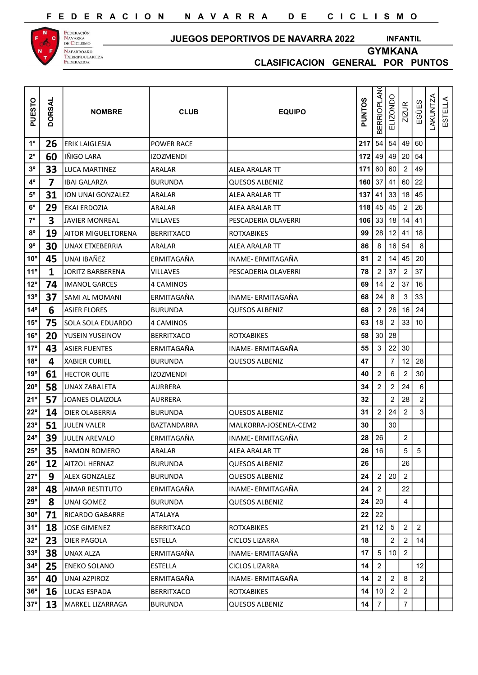

Federación<br>Navarra<br>de Ciclismo NAFARROAKO<br>Txirrindularitza<br>Federazioa

#### JUEGOS DEPORTIVOS DE NAVARRA 2022

GYMKANA INFANTIL

| PUESTO         | <b>DORSAL</b> | <b>NOMBRE</b>          | <b>CLUB</b>       | <b>EQUIPO</b>         | <b>PUNTOS</b> | <b>BERRIOPLAN</b> | ELIZONDO                | <b>ZIZUR</b>    | EGÜES          | <b>LAKUNTZA</b> | ESTELLA |  |
|----------------|---------------|------------------------|-------------------|-----------------------|---------------|-------------------|-------------------------|-----------------|----------------|-----------------|---------|--|
| $1^{\circ}$    | 26            | <b>ERIK LAIGLESIA</b>  | <b>POWER RACE</b> |                       | 217           | 54                | 54                      | 49              | 60             |                 |         |  |
| $2^{\circ}$    | 60            | IÑIGO LARA             | <b>IZOZMENDI</b>  |                       | 172           | 49                |                         | $49 \mid 20$    | 54             |                 |         |  |
| 3 <sup>o</sup> | 33            | LUCA MARTINEZ          | ARALAR            | ALEA ARALAR TT        | 171           | 60                | 60                      | $\overline{2}$  | 49             |                 |         |  |
| $4^{\circ}$    | 7             | <b>IBAI GALARZA</b>    | <b>BURUNDA</b>    | QUESOS ALBENIZ        | 160           | 37                |                         | 41 60           | 22             |                 |         |  |
| $5^{\circ}$    | 31            | ION UNAI GONZALEZ      | <b>ARALAR</b>     | ALEA ARALAR TT        | 137           | 41                | 33                      | 18              | 45             |                 |         |  |
| $6^{\circ}$    | 29            | <b>EKAI ERDOZIA</b>    | ARALAR            | ALEA ARALAR TT        | 118           | 45                | 45                      | $\overline{c}$  | 26             |                 |         |  |
| $7^{\circ}$    | 3             | <b>JAVIER MONREAL</b>  | <b>VILLAVES</b>   | PESCADERIA OLAVERRI   | 106           | 33                | 18                      | $14$   41       |                |                 |         |  |
| $8^{\circ}$    | 19            | AITOR MIGUELTORENA     | BERRITXACO        | <b>ROTXABIKES</b>     | 99            | 28                | 12 41                   |                 | 18             |                 |         |  |
| $9^{\rm o}$    | 30            | <b>UNAX ETXEBERRIA</b> | ARALAR            | ALEA ARALAR TT        | 86            | 8                 |                         | 16 54           | 8              |                 |         |  |
| $10^{\circ}$   | 45            | UNAI IBAÑEZ            | ERMITAGAÑA        | INAME- ERMITAGAÑA     | 81            | 2                 | 14                      | 45              | 20             |                 |         |  |
| $11^{\circ}$   | 1             | JORITZ BARBERENA       | <b>VILLAVES</b>   | PESCADERIA OLAVERRI   | 78            | $\overline{2}$    | 37                      | $\overline{2}$  | 37             |                 |         |  |
| $12^{\circ}$   | 74            | <b>IMANOL GARCES</b>   | 4 CAMINOS         |                       | 69            | 14                | $\overline{\mathbf{c}}$ | 37              | 16             |                 |         |  |
| $13^{\circ}$   | 37            | SAMI AL MOMANI         | ERMITAGAÑA        | INAME- ERMITAGAÑA     | 68            | 24                | 8                       | 3               | 33             |                 |         |  |
| $14^{\circ}$   | 6             | <b>ASIER FLORES</b>    | <b>BURUNDA</b>    | <b>QUESOS ALBENIZ</b> | 68            | $\overline{2}$    | 26                      | 16              | 24             |                 |         |  |
| $15^{\circ}$   | 75            | SOLA SOLA EDUARDO      | 4 CAMINOS         |                       | 63            | 18                | $\overline{\mathbf{c}}$ | 33              | 10             |                 |         |  |
| 16°            | 20            | YUSEIN YUSEINOV        | <b>BERRITXACO</b> | <b>ROTXABIKES</b>     | 58            | 30                | 28                      |                 |                |                 |         |  |
| 17°            | 43            | <b>ASIER FUENTES</b>   | <b>ERMITAGAÑA</b> | INAME- ERMITAGAÑA     | 55            | $\mathbf{3}$      |                         | $22 \mid 30$    |                |                 |         |  |
| $18^{\circ}$   | 4             | <b>XABIER CURIEL</b>   | <b>BURUNDA</b>    | <b>QUESOS ALBENIZ</b> | 47            |                   | 7                       | 12              | 28             |                 |         |  |
| 19°            | 61            | <b>HECTOR OLITE</b>    | <b>IZOZMENDI</b>  |                       | 40            | 2                 | 6                       | $\overline{2}$  | 30             |                 |         |  |
| $20^{\circ}$   | 58            | <b>UNAX ZABALETA</b>   | <b>AURRERA</b>    |                       | 34            | 2                 | 2                       | 24              | 6              |                 |         |  |
| 21°            | 57            | <b>JOANES OLAIZOLA</b> | <b>AURRERA</b>    |                       | 32            |                   | 2                       | 28              |                |                 |         |  |
| $22^{\circ}$   | 14            | <b>OIER OLABERRIA</b>  | <b>BURUNDA</b>    | <b>QUESOS ALBENIZ</b> | 31            | $\overline{2}$    | 24                      | $\overline{2}$  | 3              |                 |         |  |
| $23^\circ$     | 51            | JULEN VALER            | BAZTANDARRA       | MALKORRA-JOSENEA-CEM2 | 30            |                   | 30                      |                 |                |                 |         |  |
| $24^{\circ}$   | 39            | <b>JULEN AREVALO</b>   | ERMITAGAÑA        | INAME- ERMITAGAÑA     | 28            | 26                |                         | $\overline{2}$  |                |                 |         |  |
| $25^{\circ}$   | 35            | <b>RAMON ROMERO</b>    | <b>ARALAR</b>     | <b>ALEA ARALAR TT</b> | 26            | 16                |                         | $5\phantom{.0}$ | $\overline{5}$ |                 |         |  |
| $26^{\circ}$   | 12            | AITZOL HERNAZ          | <b>BURUNDA</b>    | QUESOS ALBENIZ        | 26            |                   |                         | 26              |                |                 |         |  |
| $27^{\circ}$   | 9             | <b>ALEX GONZALEZ</b>   | BURUNDA           | <b>QUESOS ALBENIZ</b> | 24            | $\overline{2}$    | 20 <sub>1</sub>         | $\overline{2}$  |                |                 |         |  |
| $28^{\circ}$   | 48            | AIMAR RESTITUTO        | ERMITAGAÑA        | INAME- ERMITAGAÑA     | 24            | $\overline{2}$    |                         | 22              |                |                 |         |  |
| $29^{\circ}$   | 8             | UNAI GOMEZ             | BURUNDA           | <b>QUESOS ALBENIZ</b> | 24            | 20                |                         | 4               |                |                 |         |  |
| $30^{\circ}$   | 71            | <b>RICARDO GABARRE</b> | ATALAYA           |                       | 22            | 22                |                         |                 |                |                 |         |  |
| 31°            | 18            | JOSE GIMENEZ           | BERRITXACO        | <b>ROTXABIKES</b>     | 21            | 12                | 5 <sup>5</sup>          | $\overline{2}$  | 2              |                 |         |  |
| $32^{\circ}$   | 23            | <b>OIER PAGOLA</b>     | <b>ESTELLA</b>    | <b>CICLOS LIZARRA</b> | 18            |                   | 2                       | $\overline{2}$  | 14             |                 |         |  |
| $33^{\circ}$   | 38            | <b>UNAX ALZA</b>       | ERMITAGAÑA        | INAME- ERMITAGAÑA     | 17            | 5                 | $10$   2                |                 |                |                 |         |  |
| $34^{\circ}$   | 25            | <b>ENEKO SOLANO</b>    | <b>ESTELLA</b>    | <b>CICLOS LIZARRA</b> | 14            | 2                 |                         |                 | 12             |                 |         |  |
| $35^{\circ}$   | 40            | <b>UNAI AZPIROZ</b>    | ERMITAGAÑA        | INAME- ERMITAGAÑA     | 14            | $\overline{2}$    | 2                       | 8               | $\overline{2}$ |                 |         |  |
| $36^{\circ}$   | <b>16</b>     | LUCAS ESPADA           | BERRITXACO        | <b>ROTXABIKES</b>     | 14            | 10                | 2 <sup>1</sup>          | $\overline{2}$  |                |                 |         |  |
| $37^{\circ}$   | 13            | MARKEL LIZARRAGA       | <b>BURUNDA</b>    | QUESOS ALBENIZ        | 14            | 7                 |                         | $\overline{7}$  |                |                 |         |  |
|                |               |                        |                   |                       |               |                   |                         |                 |                |                 |         |  |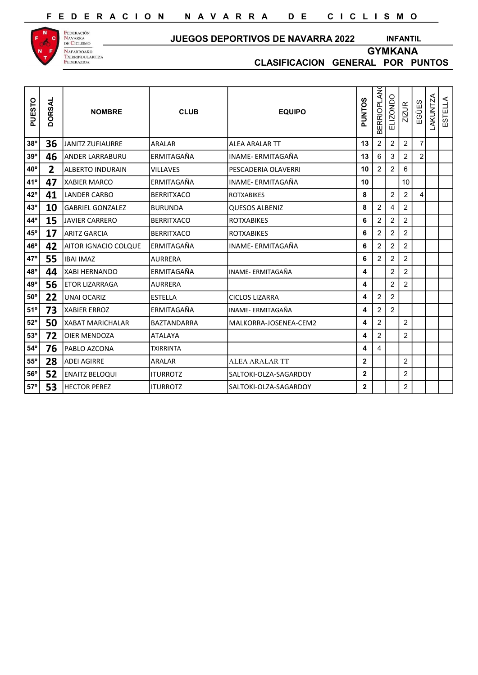

Federación<br>Navarra<br>de Ciclismo NAFARROAKO<br>Txirrindularitza<br>Federazioa

#### JUEGOS DEPORTIVOS DE NAVARRA 2022

INFANTIL

GYMKANA

| PUESTO       | <b>DORSAL</b> | <b>NOMBRE</b>           | <b>CLUB</b>        | <b>EQUIPO</b>          | PUNTOS       | <b>BERRIOPLANO</b>      | ELIZONDO       | <b>ZIZUR</b>   | EGÜES                  | LAKUNTZA | STELLA<br>Ш |
|--------------|---------------|-------------------------|--------------------|------------------------|--------------|-------------------------|----------------|----------------|------------------------|----------|-------------|
| $38^{\circ}$ | 36            | <b>JANITZ ZUFIAURRE</b> | ARALAR             | lalea aralar TT        | 13           | $\overline{2}$          | $\overline{2}$ | $\overline{c}$ | 7                      |          |             |
| 39°          | 46            | <b>ANDER LARRABURU</b>  | ERMITAGAÑA         | INAME- ERMITAGAÑA      | 13           | 6                       | 3              | $\overline{c}$ | $\overline{2}$         |          |             |
| $40^{\circ}$ | 2             | <b>ALBERTO INDURAIN</b> | <b>VILLAVES</b>    | PESCADERIA OLAVERRI    | 10           | 2                       | $\overline{2}$ | 6              |                        |          |             |
| 41°          | 47            | <b>XABIER MARCO</b>     | <b>ERMITAGAÑA</b>  | INAME- ERMITAGAÑA      | 10           |                         |                | 10             |                        |          |             |
| $42^{\circ}$ | 41            | <b>LANDER CARBO</b>     | <b>BERRITXACO</b>  | <b>IROTXABIKES</b>     | 8            |                         | $\overline{c}$ | $\overline{c}$ | $\boldsymbol{\Lambda}$ |          |             |
| 43°          | 10            | <b>GABRIEL GONZALEZ</b> | <b>BURUNDA</b>     | lQUESOS ALBENIZ        | 8            | $\overline{\mathbf{c}}$ | 4              | $\overline{2}$ |                        |          |             |
| 44°          | 15            | <b>JAVIER CARRERO</b>   | <b>BERRITXACO</b>  | <b>IROTXABIKES</b>     | 6            | $\overline{c}$          | $\overline{c}$ | $\overline{c}$ |                        |          |             |
| $45^{\circ}$ | 17            | <b>ARITZ GARCIA</b>     | <b>BERRITXACO</b>  | <b>IROTXABIKES</b>     | 6            | 2                       | $\overline{2}$ | $\overline{2}$ |                        |          |             |
| $46^{\circ}$ | 42            | AITOR IGNACIO COLQUE    | <b>ERMITAGAÑA</b>  | INAME- ERMITAGAÑA      | 6            | 2                       | $\overline{c}$ | $\overline{2}$ |                        |          |             |
| 47°          | 55            | <b>IBAI IMAZ</b>        | <b>AURRERA</b>     |                        | 6            | $\overline{2}$          | $\overline{c}$ | $\overline{2}$ |                        |          |             |
| 48°          | 44            | <b>XABI HERNANDO</b>    | ERMITAGAÑA         | lINAME- ERMITAGAÑA     | 4            |                         | $\overline{c}$ | $\overline{2}$ |                        |          |             |
| 49°          | 56            | <b>ETOR LIZARRAGA</b>   | <b>AURRERA</b>     |                        | 4            |                         | $\overline{2}$ | $\overline{2}$ |                        |          |             |
| $50^{\rm o}$ | 22            | <b>UNAI OCARIZ</b>      | <b>ESTELLA</b>     | <b>ICICLOS LIZARRA</b> | 4            | 2                       | $\overline{c}$ |                |                        |          |             |
| $51^{\circ}$ | 73            | <b>XABIER ERROZ</b>     | <b>ERMITAGAÑA</b>  | INAME- ERMITAGAÑA      | 4            | $\overline{\mathbf{c}}$ | $\sqrt{2}$     |                |                        |          |             |
| $52^{\circ}$ | 50            | <b>XABAT MARICHALAR</b> | <b>BAZTANDARRA</b> | MALKORRA-JOSENEA-CEM2  | 4            | $\overline{\mathbf{c}}$ |                | $\overline{2}$ |                        |          |             |
| $53^\circ$   | 72            | <b>OIER MENDOZA</b>     | <b>ATALAYA</b>     |                        | 4            | $\overline{c}$          |                | $\overline{2}$ |                        |          |             |
| $54^{\rm o}$ | 76            | PABLO AZCONA            | <b>TXIRRINTA</b>   |                        | 4            | 4                       |                |                |                        |          |             |
| $55^{\circ}$ | 28            | <b>ADEI AGIRRE</b>      | ARALAR             | <b>ALEA ARALAR TT</b>  | $\mathbf{2}$ |                         |                | $\overline{2}$ |                        |          |             |
| $56^{\circ}$ | 52            | <b>ENAITZ BELOQUI</b>   | <b>ITURROTZ</b>    | SALTOKI-OLZA-SAGARDOY  | $\mathbf{2}$ |                         |                | $\overline{2}$ |                        |          |             |
| $57^\circ$   | 53            | <b>HECTOR PEREZ</b>     | <b>ITURROTZ</b>    | lSALTOKI-OLZA-SAGARDOY | $\mathbf 2$  |                         |                | $\overline{2}$ |                        |          |             |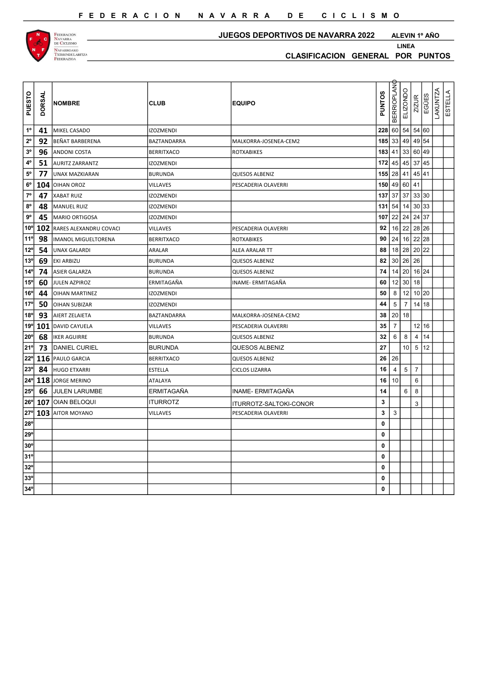



#### JUEGOS DEPORTIVOS DE NAVARRA 2022

ALEVIN 1º AÑO

| PUESTO          | <b>DORSAL</b> | <b>NOMBRE</b>              | <b>CLUB</b>       | <b>EQUIPO</b>          | <b>PUNTOS</b> | <b>BERRIOPLAN</b> | ELIZONDO       | $\overline{ZIZUR}$ | EGÜES | <b>LAKUNTZA</b><br>ESTELLA |  |
|-----------------|---------------|----------------------------|-------------------|------------------------|---------------|-------------------|----------------|--------------------|-------|----------------------------|--|
| $1^{\circ}$     | 41            | MIKEL CASADO               | <b>IZOZMENDI</b>  |                        | 228           | 60 54             |                | 54 60              |       |                            |  |
| $2^{\rm o}$     | 92            | BEÑAT BARBERENA            | BAZTANDARRA       | MALKORRA-JOSENEA-CEM2  |               | $185$ 33          | 49             | 49 54              |       |                            |  |
| $3^{\rm o}$     | 96            | <b>ANDONI COSTA</b>        | <b>BERRITXACO</b> | <b>ROTXABIKES</b>      |               | $183$ 41          | 33             | 60 49              |       |                            |  |
| $4^{\rm o}$     | 51            | <b>AURITZ ZARRANTZ</b>     | <b>IZOZMENDI</b>  |                        | 172           | 45                | 45             | 37 45              |       |                            |  |
| $\rm 5^o$       | 77            | UNAX MAZKIARAN             | <b>BURUNDA</b>    | QUESOS ALBENIZ         |               | $155$ 28 41       |                | 45 41              |       |                            |  |
| $6^{\rm o}$     |               | 104 OIHAN OROZ             | <b>VILLAVES</b>   | PESCADERIA OLAVERRI    | 150           | 49                | 60             | 41                 |       |                            |  |
| $\mathbf{7^o}$  | 47            | <b>XABAT RUIZ</b>          | <b>IZOZMENDI</b>  |                        |               | $137$ 37 37       |                | 33 30              |       |                            |  |
| $8^{\rm o}$     | 48            | MANUEL RUIZ                | <b>IZOZMENDI</b>  |                        | 131           | 54                | 14             | 30 33              |       |                            |  |
| $9^{\rm o}$     | 45            | <b>MARIO ORTIGOSA</b>      | <b>IZOZMENDI</b>  |                        | 107           | 22                | 24             | 24 37              |       |                            |  |
| $10^{\circ}$    | 102           | RARES ALEXANDRU COVACI     | <b>VILLAVES</b>   | PESCADERIA OLAVERRI    | 92            | 16 <sup>1</sup>   | 22             | 28 26              |       |                            |  |
| 11 <sup>c</sup> | 98            | <b>IMANOL MIGUELTORENA</b> | <b>BERRITXACO</b> | <b>ROTXABIKES</b>      | 90            | 24                | 16             | 22                 | 28    |                            |  |
| $12^{\circ}$    | 54            | <b>UNAX GALARDI</b>        | ARALAR            | ALEA ARALAR TT         | 88            | 18                | 28             | 20                 | 22    |                            |  |
| 13 <sup>°</sup> | 69            | <b>EKI ARBIZU</b>          | <b>BURUNDA</b>    | <b>QUESOS ALBENIZ</b>  | 82            | 30                | 26             | 26                 |       |                            |  |
| $14^{\circ}$    | 74            | <b>ASIER GALARZA</b>       | <b>BURUNDA</b>    | QUESOS ALBENIZ         | 74            | 14                | 20             | 16 24              |       |                            |  |
| $15^{\circ}$    | 60            | <b>JULEN AZPIROZ</b>       | ERMITAGAÑA        | INAME- ERMITAGAÑA      | 60            | 12                | 30             | 18                 |       |                            |  |
| $16^{\circ}$    | 44            | <b>OIHAN MARTINEZ</b>      | <b>IZOZMENDI</b>  |                        | 50            | $\,8\,$           | 12             | 10 20              |       |                            |  |
| 17 <sup>°</sup> | 50            | <b>OIHAN SUBIZAR</b>       | <b>IZOZMENDI</b>  |                        | 44            | $\overline{5}$    | $\overline{7}$ | 14 18              |       |                            |  |
| 18 <sup>°</sup> | 93            | AIERT ZELAIETA             | BAZTANDARRA       | MALKORRA-JOSENEA-CEM2  | 38            | 20                | 18             |                    |       |                            |  |
| 19°             | 101           | <b>DAVID CAYUELA</b>       | <b>VILLAVES</b>   | PESCADERIA OLAVERRI    | 35            | $\overline{7}$    |                | 12                 | 16    |                            |  |
| $20^\circ$      | 68            | <b>IKER AGUIRRE</b>        | <b>BURUNDA</b>    | QUESOS ALBENIZ         | 32            | 6                 | 8              | $\overline{4}$     | 14    |                            |  |
| $21^{\circ}$    | 73            | <b>DANIEL CURIEL</b>       | BURUNDA           | <b>QUESOS ALBENIZ</b>  | 27            |                   | 10             | $5\overline{)}$    | 12    |                            |  |
| $22^{\circ}$    |               | 116 PAULO GARCIA           | BERRITXACO        | <b>QUESOS ALBENIZ</b>  | 26            | 26                |                |                    |       |                            |  |
| $23^\circ$      | 84            | <b>HUGO ETXARRI</b>        | <b>ESTELLA</b>    | <b>CICLOS LIZARRA</b>  | 16            | $\overline{4}$    | 5              | $\overline{7}$     |       |                            |  |
| 24°             | 118           | JORGE MERINO               | <b>ATALAYA</b>    |                        | 16            | 10                |                | 6                  |       |                            |  |
| $25^{\circ}$    | 66            | JULEN LARUMBE              | ERMITAGAÑA        | INAME- ERMITAGAÑA      | 14            |                   | 6              | 8                  |       |                            |  |
| $26^{\circ}$    |               | 107   OIAN BELOQUI         | <b>ITURROTZ</b>   | ITURROTZ-SALTOKI-CONOR | 3             |                   |                | 3                  |       |                            |  |
| $27^{\circ}$    |               | 103 AITOR MOYANO           | <b>VILLAVES</b>   | PESCADERIA OLAVERRI    | $\mathbf{3}$  | 3                 |                |                    |       |                            |  |
| $28^{\circ}$    |               |                            |                   |                        | $\bf{0}$      |                   |                |                    |       |                            |  |
| $29^{\circ}$    |               |                            |                   |                        | $\mathbf 0$   |                   |                |                    |       |                            |  |
| 30 <sup>°</sup> |               |                            |                   |                        | $\mathbf 0$   |                   |                |                    |       |                            |  |
| 31 <sup>c</sup> |               |                            |                   |                        | 0             |                   |                |                    |       |                            |  |
| $32^{\circ}$    |               |                            |                   |                        | 0             |                   |                |                    |       |                            |  |
| $33^{\circ}$    |               |                            |                   |                        | 0             |                   |                |                    |       |                            |  |
| 34°             |               |                            |                   |                        | $\mathbf 0$   |                   |                |                    |       |                            |  |
|                 |               |                            |                   |                        |               |                   |                |                    |       |                            |  |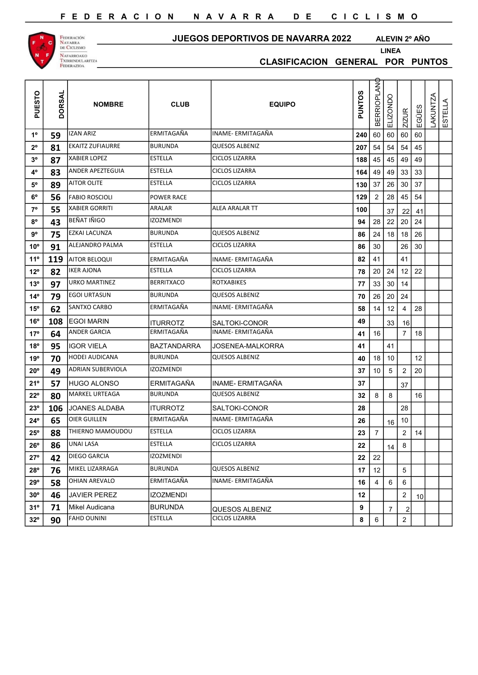

## JUEGOS DEPORTIVOS DE NAVARRA 2022 ALEVIN 2º AÑO

LINEA

| CLASIFICACION GENERAL POR PUNTOS |  |  |
|----------------------------------|--|--|
|                                  |  |  |

| ō<br>PUEST   | <b>DORSAL</b> | <b>NOMBRE</b>            | <b>CLUB</b>       | <b>EQUIPO</b>         | <b>PUNTOS</b> | <b>BERRIOPLAN</b> | O<br>ELIZOND    | <b>ZIZUR</b>            | EGÜES  | <b>LAKUNTZA</b> | ESTELLA |  |
|--------------|---------------|--------------------------|-------------------|-----------------------|---------------|-------------------|-----------------|-------------------------|--------|-----------------|---------|--|
| $1^{\rm o}$  | 59            | <b>IZAN ARIZ</b>         | ERMITAGAÑA        | INAME- ERMITAGAÑA     | 240           | 60                | 60              | 60                      | 60     |                 |         |  |
| $2^{\circ}$  | 81            | <b>EKAITZ ZUFIAURRE</b>  | <b>BURUNDA</b>    | <b>QUESOS ALBENIZ</b> | 207           | 54                | 54              | 54                      | 45     |                 |         |  |
| $3^{\rm o}$  | 87            | <b>XABIER LOPEZ</b>      | <b>ESTELLA</b>    | <b>CICLOS LIZARRA</b> | 188           | 45                | 45              | 49                      | 49     |                 |         |  |
| $4^{\rm o}$  | 83            | ANDER APEZTEGUIA         | <b>ESTELLA</b>    | <b>CICLOS LIZARRA</b> | 164           | 49                | 49              | 33                      | 33     |                 |         |  |
| $5^{\rm o}$  | 89            | <b>AITOR OLITE</b>       | <b>ESTELLA</b>    | <b>CICLOS LIZARRA</b> | 130           | 37                | 26              | 30                      | 37     |                 |         |  |
| $6^{\rm o}$  | 56            | <b>FABIO ROSCIOLI</b>    | POWER RACE        |                       | 129           | $2^{\circ}$       | 28              | 45                      | 54     |                 |         |  |
| $7^{\circ}$  | 55            | <b>XABIER GORRITI</b>    | ARALAR            | ALEA ARALAR TT        | 100           |                   | 37              | 22                      | 41     |                 |         |  |
| $8^{\circ}$  | 43            | BEÑAT IÑIGO              | <b>IZOZMENDI</b>  |                       | 94            | 28                | 22              | 20                      | 24     |                 |         |  |
| $9^{\rm o}$  | 75            | <b>EZKAI LACUNZA</b>     | <b>BURUNDA</b>    | QUESOS ALBENIZ        | 86            | 24                | 18              | 18                      | 26     |                 |         |  |
| $10^{\circ}$ | 91            | ALEJANDRO PALMA          | <b>ESTELLA</b>    | <b>CICLOS LIZARRA</b> | 86            | $30\,$            |                 | 26                      | $30\,$ |                 |         |  |
| 11°          | 119           | AITOR BELOQUI            | ERMITAGAÑA        | INAME- ERMITAGAÑA     | 82            | 41                |                 | 41                      |        |                 |         |  |
| $12^{\circ}$ | 82            | <b>IKER AJONA</b>        | <b>ESTELLA</b>    | <b>CICLOS LIZARRA</b> | 78            | 20                | 24              | 12                      | 22     |                 |         |  |
| $13^{\circ}$ | 97            | <b>URKO MARTINEZ</b>     | <b>BERRITXACO</b> | ROTXABIKES            | 77            | 33                | $30\,$          | 14                      |        |                 |         |  |
| $14^{\circ}$ | 79            | <b>EGOI URTASUN</b>      | <b>BURUNDA</b>    | QUESOS ALBENIZ        | 70            | 26                | 20              | 24                      |        |                 |         |  |
| $15^{\circ}$ | 62            | <b>SANTXO CARBO</b>      | ERMITAGAÑA        | INAME- ERMITAGAÑA     | 58            | 14                | 12              | 4                       | 28     |                 |         |  |
| $16^{\circ}$ | 108           | <b>EGOI MARIN</b>        | <b>ITURROTZ</b>   | SALTOKI-CONOR         | 49            |                   | 33              | 16                      |        |                 |         |  |
| 17°          | 64            | <b>ANDER GARCIA</b>      | ERMITAGAÑA        | INAME- ERMITAGAÑA     | 41            | 16                |                 | $\overline{7}$          | 18     |                 |         |  |
| $18^{\circ}$ | 95            | <b>IGOR VIELA</b>        | BAZTANDARRA       | JOSENEA-MALKORRA      | 41            |                   | 41              |                         |        |                 |         |  |
| 19°          | 70            | HODEI AUDICANA           | BURUNDA           | <b>QUESOS ALBENIZ</b> | 40            | 18                | 10              |                         | 12     |                 |         |  |
| $20^{\circ}$ | 49            | <b>ADRIAN SUBERVIOLA</b> | <b>IZOZMENDI</b>  |                       | 37            | 10 <sup>1</sup>   | $5\phantom{.0}$ | $\overline{2}$          | 20     |                 |         |  |
| $21^{\circ}$ | 57            | <b>HUGO ALONSO</b>       | ERMITAGAÑA        | INAME- ERMITAGAÑA     | 37            |                   |                 | 37                      |        |                 |         |  |
| $22^{\circ}$ | 80            | <b>MARKEL URTEAGA</b>    | <b>BURUNDA</b>    | <b>QUESOS ALBENIZ</b> | 32            | 8                 | 8               |                         | 16     |                 |         |  |
| $23^{\circ}$ | 106           | <b>JOANES ALDABA</b>     | <b>ITURROTZ</b>   | SALTOKI-CONOR         | 28            |                   |                 | 28                      |        |                 |         |  |
| $24^{\circ}$ | 65            | <b>OIER GUILLEN</b>      | lermitagaña       | INAME- ERMITAGAÑA     | 26            |                   | 16              | 10                      |        |                 |         |  |
| $25^{\circ}$ | 88            | THIERNO MAMOUDOU         | ESTELLA           | <b>CICLOS LIZARRA</b> | 23            | 7                 |                 | $\overline{\mathbf{c}}$ | 14     |                 |         |  |
| $26^{\circ}$ | 86            | <b>UNAI LASA</b>         | <b>ESTELLA</b>    | <b>CICLOS LIZARRA</b> | 22            |                   | 14              | 8                       |        |                 |         |  |
| $27^{\circ}$ | 42            | DIEGO GARCIA             | IZOZMENDI         |                       | 22            | 22                |                 |                         |        |                 |         |  |
| $28^{\circ}$ | 76            | MIKEL LIZARRAGA          | <b>BURUNDA</b>    | QUESOS ALBENIZ        | 17            | 12                |                 | 5                       |        |                 |         |  |
| 29°          | 58            | OHIAN AREVALO            | ERMITAGAÑA        | INAME- ERMITAGAÑA     | 16            | 4                 | $\,6$           | 6                       |        |                 |         |  |
| $30^{\circ}$ | 46            | <b>JAVIER PEREZ</b>      | <b>IZOZMENDI</b>  |                       | 12            |                   |                 | $\overline{a}$          | 10     |                 |         |  |
| 31°          | 71            | Mikel Audicana           | <b>BURUNDA</b>    | <b>QUESOS ALBENIZ</b> | 9             |                   | $\overline{7}$  | 2                       |        |                 |         |  |
| $32^{\circ}$ | 90            | <b>FAHD OUNINI</b>       | ESTELLA           | <b>CICLOS LIZARRA</b> | 8             | 6                 |                 | $\overline{c}$          |        |                 |         |  |
|              |               |                          |                   |                       |               |                   |                 |                         |        |                 |         |  |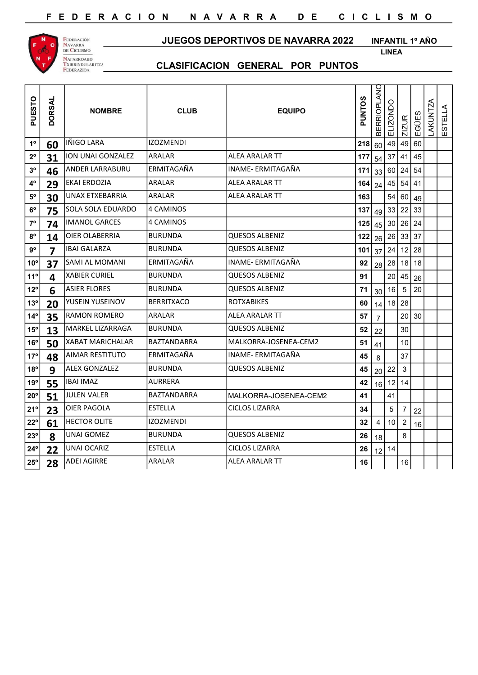

JUEGOS DEPORTIVOS DE NAVARRA 2022

INFANTIL 1º AÑO LINEA

| PUESTO          | <b>DORSAL</b> | <b>NOMBRE</b>            | <b>CLUB</b>        | <b>EQUIPO</b>         | PUNTOS         | <b>BERRIOPLANO</b> | ELIZONDO        | <b>ZIZUR</b>         | EGÜES | LAKUNTZA | ESTELLA |
|-----------------|---------------|--------------------------|--------------------|-----------------------|----------------|--------------------|-----------------|----------------------|-------|----------|---------|
| $1^{\circ}$     | 60            | IÑIGO LARA               | IZOZMENDI          |                       | 218            | 60                 | 49              | 49                   | 60    |          |         |
| $2^{\circ}$     | 31            | ION UNAI GONZALEZ        | ARALAR             | <b>ALEA ARALAR TT</b> | 177            | 54                 | 37              | 41                   | 45    |          |         |
| $3^{\circ}$     | 46            | <b>ANDER LARRABURU</b>   | <b>ERMITAGAÑA</b>  | INAME- ERMITAGAÑA     | $171 \vert 33$ |                    |                 | 60 24 54             |       |          |         |
| $4^{\rm o}$     | 29            | <b>EKAI ERDOZIA</b>      | ARALAR             | ALEA ARALAR TT        | $164$ 24       |                    |                 | $45 \mid 54 \mid 41$ |       |          |         |
| $5^{\rm o}$     | 30            | UNAX ETXEBARRIA          | <b>ARALAR</b>      | <b>ALEA ARALAR TT</b> | 163            |                    |                 | 54 60 49             |       |          |         |
| $6^{\rm o}$     | 75            | <b>SOLA SOLA EDUARDO</b> | 4 CAMINOS          |                       | 137            | 49                 | 33              | 22                   | 33    |          |         |
| $7^{\circ}$     | 74            | <b>IMANOL GARCES</b>     | 4 CAMINOS          |                       | 125            | 45                 |                 | 30 26 24             |       |          |         |
| $8^{\circ}$     | 14            | <b>OIER OLABERRIA</b>    | <b>BURUNDA</b>     | <b>QUESOS ALBENIZ</b> | 122            | 26                 |                 | $26 \mid 33 \mid 37$ |       |          |         |
| $9^{\rm o}$     | 7             | IBAI GALARZA             | BURUNDA            | <b>QUESOS ALBENIZ</b> | 101            | 37                 | 24              | $12$ 28              |       |          |         |
| $10^{\circ}$    | 37            | <b>SAMI AL MOMANI</b>    | <b>ERMITAGAÑA</b>  | INAME- ERMITAGAÑA     | 92             | 28                 |                 | $28$ 18 18           |       |          |         |
| 11°             | 4             | <b>XABIER CURIEL</b>     | <b>BURUNDA</b>     | <b>QUESOS ALBENIZ</b> | 91             |                    | 20              | 45                   | 26    |          |         |
| $12^{\circ}$    | 6             | <b>ASIER FLORES</b>      | <b>BURUNDA</b>     | <b>QUESOS ALBENIZ</b> | 71             | 30                 | 16              | 5 <sub>5</sub>       | 20    |          |         |
| $13^\circ$      | 20            | YUSEIN YUSEINOV          | <b>BERRITXACO</b>  | <b>ROTXABIKES</b>     | 60             | 14                 |                 | $18$ 28              |       |          |         |
| $14^{\circ}$    | 35            | <b>RAMON ROMERO</b>      | ARALAR             | <b>ALEA ARALAR TT</b> | 57             | $\overline{7}$     |                 | 20 30                |       |          |         |
| $15^{\circ}$    | 13            | MARKEL LIZARRAGA         | BURUNDA            | QUESOS ALBENIZ        | 52             | 22                 |                 | 30                   |       |          |         |
| 16°             | 50            | XABAT MARICHALAR         | BAZTANDARRA        | MALKORRA-JOSENEA-CEM2 | 51             | 41                 |                 | 10                   |       |          |         |
| $17^{\circ}$    | 48            | <b>AIMAR RESTITUTO</b>   | ERMITAGAÑA         | INAME- ERMITAGAÑA     | 45             | 8                  |                 | 37                   |       |          |         |
| $18^{\circ}$    | 9             | <b>ALEX GONZALEZ</b>     | <b>BURUNDA</b>     | <b>QUESOS ALBENIZ</b> | 45             | 20                 | 22              | 3                    |       |          |         |
| 19°             | 55            | <b>IBAI IMAZ</b>         | AURRERA            |                       | 42             | 16                 |                 | 12 14                |       |          |         |
| $20^{\circ}$    | 51            | <b>JULEN VALER</b>       | <b>BAZTANDARRA</b> | MALKORRA-JOSENEA-CEM2 | 41             |                    | 41              |                      |       |          |         |
| 21 <sup>o</sup> | 23            | <b>OIER PAGOLA</b>       | <b>ESTELLA</b>     | <b>CICLOS LIZARRA</b> | 34             |                    | $\overline{5}$  | $\overline{7}$       | 22    |          |         |
| 22°             | 61            | <b>HECTOR OLITE</b>      | <b>IZOZMENDI</b>   |                       | 32             | 4                  | 10 <sup>1</sup> | $\overline{c}$       | 16    |          |         |
| 23°             | 8             | UNAI GOMEZ               | <b>BURUNDA</b>     | <b>QUESOS ALBENIZ</b> | 26             | 18                 |                 | 8                    |       |          |         |
| $24^{\circ}$    | 22            | UNAI OCARIZ              | <b>ESTELLA</b>     | <b>CICLOS LIZARRA</b> | 26             | 12                 | 14              |                      |       |          |         |
| $25^{\circ}$    | 28            | <b>ADEI AGIRRE</b>       | <b>ARALAR</b>      | <b>ALEA ARALAR TT</b> | 16             |                    |                 | 16                   |       |          |         |